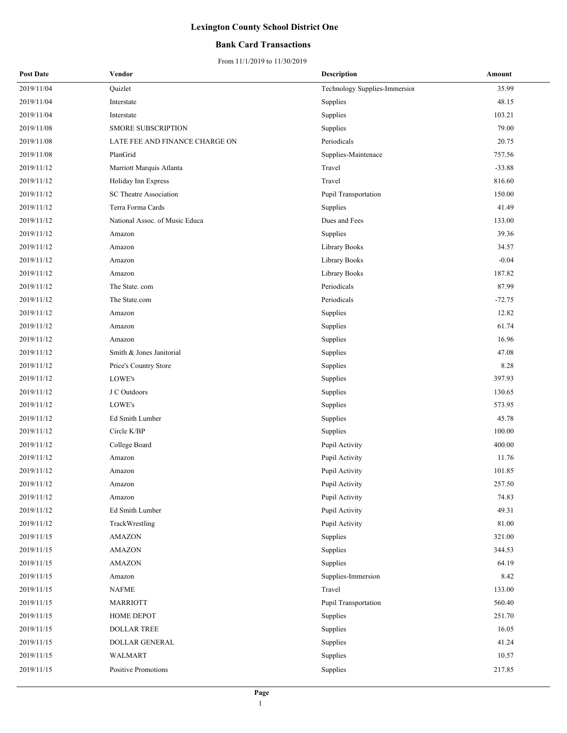### **Bank Card Transactions**

| <b>Post Date</b> | Vendor                         | <b>Description</b>            | Amount   |
|------------------|--------------------------------|-------------------------------|----------|
| 2019/11/04       | Quizlet                        | Technology Supplies-Immersior | 35.99    |
| 2019/11/04       | Interstate                     | Supplies                      | 48.15    |
| 2019/11/04       | Interstate                     | Supplies                      | 103.21   |
| 2019/11/08       | <b>SMORE SUBSCRIPTION</b>      | Supplies                      | 79.00    |
| 2019/11/08       | LATE FEE AND FINANCE CHARGE ON | Periodicals                   | 20.75    |
| 2019/11/08       | PlanGrid                       | Supplies-Maintenace           | 757.56   |
| 2019/11/12       | Marriott Marquis Atlanta       | Travel                        | $-33.88$ |
| 2019/11/12       | Holiday Inn Express            | Travel                        | 816.60   |
| 2019/11/12       | SC Theatre Association         | Pupil Transportation          | 150.00   |
| 2019/11/12       | Terra Forma Cards              | Supplies                      | 41.49    |
| 2019/11/12       | National Assoc. of Music Educa | Dues and Fees                 | 133.00   |
| 2019/11/12       | Amazon                         | Supplies                      | 39.36    |
| 2019/11/12       | Amazon                         | Library Books                 | 34.57    |
| 2019/11/12       | Amazon                         | Library Books                 | $-0.04$  |
| 2019/11/12       | Amazon                         | Library Books                 | 187.82   |
| 2019/11/12       | The State. com                 | Periodicals                   | 87.99    |
| 2019/11/12       | The State.com                  | Periodicals                   | $-72.75$ |
| 2019/11/12       | Amazon                         | Supplies                      | 12.82    |
| 2019/11/12       | Amazon                         | Supplies                      | 61.74    |
| 2019/11/12       | Amazon                         | Supplies                      | 16.96    |
| 2019/11/12       | Smith & Jones Janitorial       | Supplies                      | 47.08    |
| 2019/11/12       | Price's Country Store          | Supplies                      | 8.28     |
| 2019/11/12       | LOWE's                         | Supplies                      | 397.93   |
| 2019/11/12       | J C Outdoors                   | Supplies                      | 130.65   |
| 2019/11/12       | LOWE's                         | Supplies                      | 573.95   |
| 2019/11/12       | Ed Smith Lumber                | Supplies                      | 45.78    |
| 2019/11/12       | Circle K/BP                    | Supplies                      | 100.00   |
| 2019/11/12       | College Board                  | Pupil Activity                | 400.00   |
| 2019/11/12       | Amazon                         | Pupil Activity                | 11.76    |
| 2019/11/12       | Amazon                         | Pupil Activity                | 101.85   |
| 2019/11/12       | Amazon                         | Pupil Activity                | 257.50   |
| 2019/11/12       | Amazon                         | Pupil Activity                | 74.83    |
| 2019/11/12       | Ed Smith Lumber                | Pupil Activity                | 49.31    |
| 2019/11/12       | TrackWrestling                 | Pupil Activity                | 81.00    |
| 2019/11/15       | <b>AMAZON</b>                  | Supplies                      | 321.00   |
| 2019/11/15       | <b>AMAZON</b>                  | Supplies                      | 344.53   |
| 2019/11/15       | <b>AMAZON</b>                  | Supplies                      | 64.19    |
| 2019/11/15       | Amazon                         | Supplies-Immersion            | 8.42     |
| 2019/11/15       | NAFME                          | Travel                        | 133.00   |
| 2019/11/15       | <b>MARRIOTT</b>                | Pupil Transportation          | 560.40   |
| 2019/11/15       | HOME DEPOT                     | Supplies                      | 251.70   |
| 2019/11/15       | <b>DOLLAR TREE</b>             | Supplies                      | 16.05    |
| 2019/11/15       | DOLLAR GENERAL                 | Supplies                      | 41.24    |
| 2019/11/15       | <b>WALMART</b>                 | Supplies                      | 10.57    |
| 2019/11/15       | Positive Promotions            | Supplies                      | 217.85   |
|                  |                                |                               |          |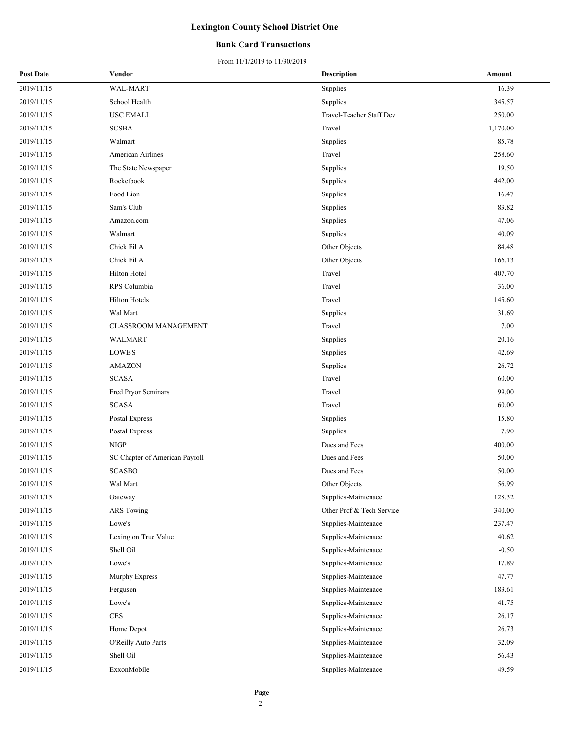### **Bank Card Transactions**

| <b>Post Date</b> | Vendor                         | Description               | Amount   |
|------------------|--------------------------------|---------------------------|----------|
| 2019/11/15       | WAL-MART                       | Supplies                  | 16.39    |
| 2019/11/15       | School Health                  | Supplies                  | 345.57   |
| 2019/11/15       | <b>USC EMALL</b>               | Travel-Teacher Staff Dev  | 250.00   |
| 2019/11/15       | <b>SCSBA</b>                   | Travel                    | 1,170.00 |
| 2019/11/15       | Walmart                        | Supplies                  | 85.78    |
| 2019/11/15       | American Airlines              | Travel                    | 258.60   |
| 2019/11/15       | The State Newspaper            | Supplies                  | 19.50    |
| 2019/11/15       | Rocketbook                     | Supplies                  | 442.00   |
| 2019/11/15       | Food Lion                      | Supplies                  | 16.47    |
| 2019/11/15       | Sam's Club                     | Supplies                  | 83.82    |
| 2019/11/15       | Amazon.com                     | Supplies                  | 47.06    |
| 2019/11/15       | Walmart                        | Supplies                  | 40.09    |
| 2019/11/15       | Chick Fil A                    | Other Objects             | 84.48    |
| 2019/11/15       | Chick Fil A                    | Other Objects             | 166.13   |
| 2019/11/15       | Hilton Hotel                   | Travel                    | 407.70   |
| 2019/11/15       | RPS Columbia                   | Travel                    | 36.00    |
| 2019/11/15       | <b>Hilton Hotels</b>           | Travel                    | 145.60   |
| 2019/11/15       | Wal Mart                       | Supplies                  | 31.69    |
| 2019/11/15       | <b>CLASSROOM MANAGEMENT</b>    | Travel                    | 7.00     |
| 2019/11/15       | WALMART                        | Supplies                  | 20.16    |
| 2019/11/15       | LOWE'S                         | Supplies                  | 42.69    |
| 2019/11/15       | <b>AMAZON</b>                  | Supplies                  | 26.72    |
| 2019/11/15       | <b>SCASA</b>                   | Travel                    | 60.00    |
| 2019/11/15       | Fred Pryor Seminars            | Travel                    | 99.00    |
| 2019/11/15       | <b>SCASA</b>                   | Travel                    | 60.00    |
| 2019/11/15       | Postal Express                 | Supplies                  | 15.80    |
| 2019/11/15       | Postal Express                 | Supplies                  | 7.90     |
| 2019/11/15       | <b>NIGP</b>                    | Dues and Fees             | 400.00   |
| 2019/11/15       | SC Chapter of American Payroll | Dues and Fees             | 50.00    |
| 2019/11/15       | <b>SCASBO</b>                  | Dues and Fees             | 50.00    |
| 2019/11/15       | Wal Mart                       | Other Objects             | 56.99    |
| 2019/11/15       | Gateway                        | Supplies-Maintenace       | 128.32   |
| 2019/11/15       | <b>ARS Towing</b>              | Other Prof & Tech Service | 340.00   |
| 2019/11/15       | Lowe's                         | Supplies-Maintenace       | 237.47   |
| 2019/11/15       | Lexington True Value           | Supplies-Maintenace       | 40.62    |
| 2019/11/15       | Shell Oil                      | Supplies-Maintenace       | $-0.50$  |
| 2019/11/15       | Lowe's                         | Supplies-Maintenace       | 17.89    |
| 2019/11/15       | Murphy Express                 | Supplies-Maintenace       | 47.77    |
| 2019/11/15       | Ferguson                       | Supplies-Maintenace       | 183.61   |
| 2019/11/15       | Lowe's                         | Supplies-Maintenace       | 41.75    |
| 2019/11/15       | $\rm{CES}$                     | Supplies-Maintenace       | 26.17    |
| 2019/11/15       | Home Depot                     | Supplies-Maintenace       | 26.73    |
| 2019/11/15       | O'Reilly Auto Parts            | Supplies-Maintenace       | 32.09    |
| 2019/11/15       | Shell Oil                      | Supplies-Maintenace       | 56.43    |
| 2019/11/15       | ExxonMobile                    | Supplies-Maintenace       | 49.59    |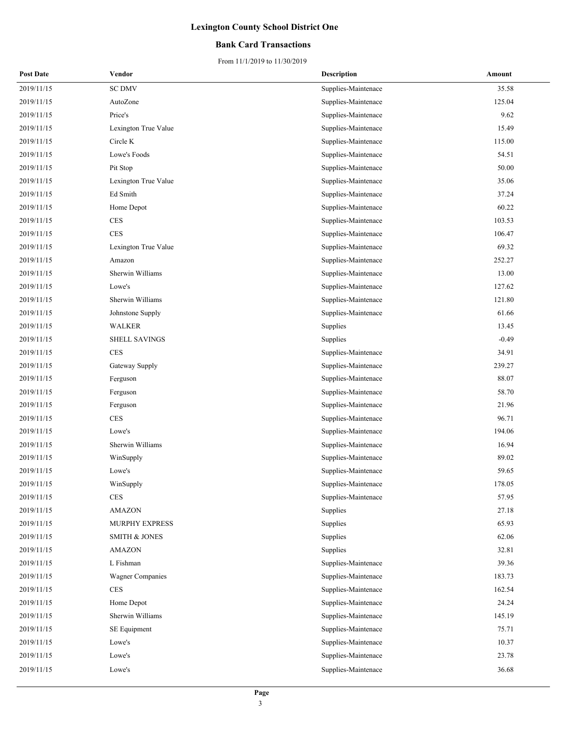### **Bank Card Transactions**

| <b>Post Date</b> | Vendor                   | <b>Description</b>  | Amount  |
|------------------|--------------------------|---------------------|---------|
| 2019/11/15       | <b>SC DMV</b>            | Supplies-Maintenace | 35.58   |
| 2019/11/15       | AutoZone                 | Supplies-Maintenace | 125.04  |
| 2019/11/15       | Price's                  | Supplies-Maintenace | 9.62    |
| 2019/11/15       | Lexington True Value     | Supplies-Maintenace | 15.49   |
| 2019/11/15       | Circle K                 | Supplies-Maintenace | 115.00  |
| 2019/11/15       | Lowe's Foods             | Supplies-Maintenace | 54.51   |
| 2019/11/15       | Pit Stop                 | Supplies-Maintenace | 50.00   |
| 2019/11/15       | Lexington True Value     | Supplies-Maintenace | 35.06   |
| 2019/11/15       | Ed Smith                 | Supplies-Maintenace | 37.24   |
| 2019/11/15       | Home Depot               | Supplies-Maintenace | 60.22   |
| 2019/11/15       | <b>CES</b>               | Supplies-Maintenace | 103.53  |
| 2019/11/15       | <b>CES</b>               | Supplies-Maintenace | 106.47  |
| 2019/11/15       | Lexington True Value     | Supplies-Maintenace | 69.32   |
| 2019/11/15       | Amazon                   | Supplies-Maintenace | 252.27  |
| 2019/11/15       | Sherwin Williams         | Supplies-Maintenace | 13.00   |
| 2019/11/15       | Lowe's                   | Supplies-Maintenace | 127.62  |
| 2019/11/15       | Sherwin Williams         | Supplies-Maintenace | 121.80  |
| 2019/11/15       | Johnstone Supply         | Supplies-Maintenace | 61.66   |
| 2019/11/15       | WALKER                   | Supplies            | 13.45   |
| 2019/11/15       | SHELL SAVINGS            | Supplies            | $-0.49$ |
| 2019/11/15       | <b>CES</b>               | Supplies-Maintenace | 34.91   |
| 2019/11/15       | Gateway Supply           | Supplies-Maintenace | 239.27  |
| 2019/11/15       | Ferguson                 | Supplies-Maintenace | 88.07   |
| 2019/11/15       | Ferguson                 | Supplies-Maintenace | 58.70   |
| 2019/11/15       | Ferguson                 | Supplies-Maintenace | 21.96   |
| 2019/11/15       | $\rm{CES}$               | Supplies-Maintenace | 96.71   |
| 2019/11/15       | Lowe's                   | Supplies-Maintenace | 194.06  |
| 2019/11/15       | Sherwin Williams         | Supplies-Maintenace | 16.94   |
| 2019/11/15       | WinSupply                | Supplies-Maintenace | 89.02   |
| 2019/11/15       | Lowe's                   | Supplies-Maintenace | 59.65   |
| 2019/11/15       | WinSupply                | Supplies-Maintenace | 178.05  |
| 2019/11/15       | <b>CES</b>               | Supplies-Maintenace | 57.95   |
| 2019/11/15       | AMAZON                   | Supplies            | 27.18   |
| 2019/11/15       | <b>MURPHY EXPRESS</b>    | Supplies            | 65.93   |
| 2019/11/15       | <b>SMITH &amp; JONES</b> | Supplies            | 62.06   |
| 2019/11/15       | AMAZON                   | Supplies            | 32.81   |
| 2019/11/15       | L Fishman                | Supplies-Maintenace | 39.36   |
| 2019/11/15       | <b>Wagner Companies</b>  | Supplies-Maintenace | 183.73  |
| 2019/11/15       | $\rm{CES}$               | Supplies-Maintenace | 162.54  |
| 2019/11/15       | Home Depot               | Supplies-Maintenace | 24.24   |
| 2019/11/15       | Sherwin Williams         | Supplies-Maintenace | 145.19  |
| 2019/11/15       | SE Equipment             | Supplies-Maintenace | 75.71   |
| 2019/11/15       | Lowe's                   | Supplies-Maintenace | 10.37   |
| 2019/11/15       | Lowe's                   | Supplies-Maintenace | 23.78   |
| 2019/11/15       | Lowe's                   | Supplies-Maintenace | 36.68   |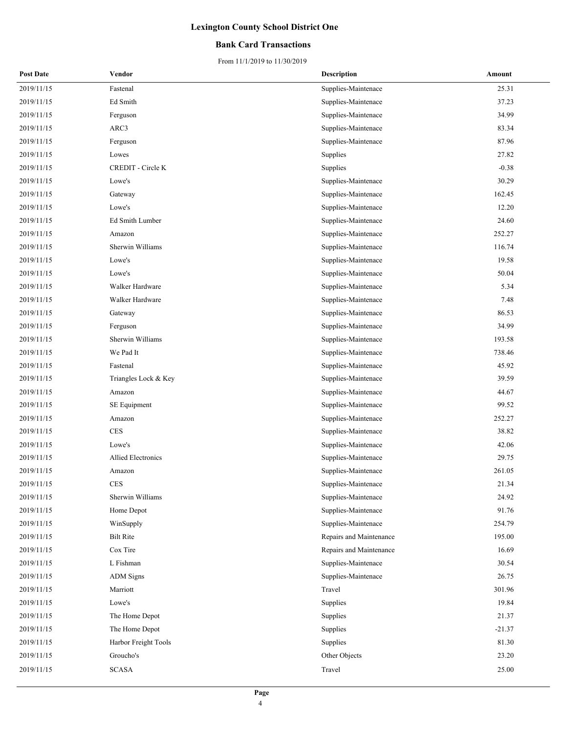### **Bank Card Transactions**

| <b>Post Date</b> | Vendor                    | <b>Description</b>      | Amount   |
|------------------|---------------------------|-------------------------|----------|
| 2019/11/15       | Fastenal                  | Supplies-Maintenace     | 25.31    |
| 2019/11/15       | Ed Smith                  | Supplies-Maintenace     | 37.23    |
| 2019/11/15       | Ferguson                  | Supplies-Maintenace     | 34.99    |
| 2019/11/15       | ARC3                      | Supplies-Maintenace     | 83.34    |
| 2019/11/15       | Ferguson                  | Supplies-Maintenace     | 87.96    |
| 2019/11/15       | Lowes                     | Supplies                | 27.82    |
| 2019/11/15       | CREDIT - Circle K         | Supplies                | $-0.38$  |
| 2019/11/15       | Lowe's                    | Supplies-Maintenace     | 30.29    |
| 2019/11/15       | Gateway                   | Supplies-Maintenace     | 162.45   |
| 2019/11/15       | Lowe's                    | Supplies-Maintenace     | 12.20    |
| 2019/11/15       | Ed Smith Lumber           | Supplies-Maintenace     | 24.60    |
| 2019/11/15       | Amazon                    | Supplies-Maintenace     | 252.27   |
| 2019/11/15       | Sherwin Williams          | Supplies-Maintenace     | 116.74   |
| 2019/11/15       | Lowe's                    | Supplies-Maintenace     | 19.58    |
| 2019/11/15       | Lowe's                    | Supplies-Maintenace     | 50.04    |
| 2019/11/15       | Walker Hardware           | Supplies-Maintenace     | 5.34     |
| 2019/11/15       | Walker Hardware           | Supplies-Maintenace     | 7.48     |
| 2019/11/15       | Gateway                   | Supplies-Maintenace     | 86.53    |
| 2019/11/15       | Ferguson                  | Supplies-Maintenace     | 34.99    |
| 2019/11/15       | Sherwin Williams          | Supplies-Maintenace     | 193.58   |
| 2019/11/15       | We Pad It                 | Supplies-Maintenace     | 738.46   |
| 2019/11/15       | Fastenal                  | Supplies-Maintenace     | 45.92    |
| 2019/11/15       | Triangles Lock & Key      | Supplies-Maintenace     | 39.59    |
| 2019/11/15       | Amazon                    | Supplies-Maintenace     | 44.67    |
| 2019/11/15       | SE Equipment              | Supplies-Maintenace     | 99.52    |
| 2019/11/15       | Amazon                    | Supplies-Maintenace     | 252.27   |
| 2019/11/15       | <b>CES</b>                | Supplies-Maintenace     | 38.82    |
| 2019/11/15       | Lowe's                    | Supplies-Maintenace     | 42.06    |
| 2019/11/15       | <b>Allied Electronics</b> | Supplies-Maintenace     | 29.75    |
| 2019/11/15       | Amazon                    | Supplies-Maintenace     | 261.05   |
| 2019/11/15       | CES                       | Supplies-Maintenace     | 21.34    |
| 2019/11/15       | Sherwin Williams          | Supplies-Maintenace     | 24.92    |
| 2019/11/15       | Home Depot                | Supplies-Maintenace     | 91.76    |
| 2019/11/15       | WinSupply                 | Supplies-Maintenace     | 254.79   |
| 2019/11/15       | <b>Bilt Rite</b>          | Repairs and Maintenance | 195.00   |
| 2019/11/15       | Cox Tire                  | Repairs and Maintenance | 16.69    |
| 2019/11/15       | L Fishman                 | Supplies-Maintenace     | 30.54    |
| 2019/11/15       | <b>ADM</b> Signs          | Supplies-Maintenace     | 26.75    |
| 2019/11/15       | Marriott                  | Travel                  | 301.96   |
| 2019/11/15       | Lowe's                    | Supplies                | 19.84    |
| 2019/11/15       | The Home Depot            | Supplies                | 21.37    |
| 2019/11/15       | The Home Depot            | Supplies                | $-21.37$ |
| 2019/11/15       | Harbor Freight Tools      | Supplies                | 81.30    |
| 2019/11/15       | Groucho's                 | Other Objects           | 23.20    |
| 2019/11/15       | <b>SCASA</b>              | Travel                  | 25.00    |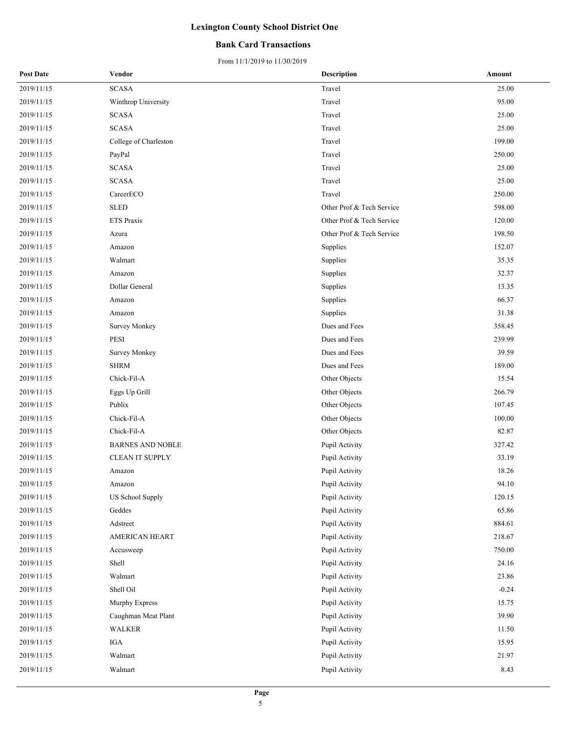### **Bank Card Transactions**

| <b>Post Date</b> | Vendor                  | <b>Description</b>        | Amount  |
|------------------|-------------------------|---------------------------|---------|
| 2019/11/15       | <b>SCASA</b>            | Travel                    | 25.00   |
| 2019/11/15       | Winthrop University     | Travel                    | 95.00   |
| 2019/11/15       | <b>SCASA</b>            | Travel                    | 25.00   |
| 2019/11/15       | <b>SCASA</b>            | Travel                    | 25.00   |
| 2019/11/15       | College of Charleston   | Travel                    | 199.00  |
| 2019/11/15       | PayPal                  | Travel                    | 250.00  |
| 2019/11/15       | <b>SCASA</b>            | Travel                    | 25.00   |
| 2019/11/15       | <b>SCASA</b>            | Travel                    | 25.00   |
| 2019/11/15       | CareerECO               | Travel                    | 250.00  |
| 2019/11/15       | <b>SLED</b>             | Other Prof & Tech Service | 598.00  |
| 2019/11/15       | ETS Praxis              | Other Prof & Tech Service | 120.00  |
| 2019/11/15       | Azura                   | Other Prof & Tech Service | 198.50  |
| 2019/11/15       | Amazon                  | Supplies                  | 152.07  |
| 2019/11/15       | Walmart                 | Supplies                  | 35.35   |
| 2019/11/15       | Amazon                  | Supplies                  | 32.37   |
| 2019/11/15       | Dollar General          | Supplies                  | 13.35   |
| 2019/11/15       | Amazon                  | Supplies                  | 66.37   |
| 2019/11/15       | Amazon                  | Supplies                  | 31.38   |
| 2019/11/15       | Survey Monkey           | Dues and Fees             | 358.45  |
| 2019/11/15       | PESI                    | Dues and Fees             | 239.99  |
| 2019/11/15       | <b>Survey Monkey</b>    | Dues and Fees             | 39.59   |
| 2019/11/15       | <b>SHRM</b>             | Dues and Fees             | 189.00  |
| 2019/11/15       | Chick-Fil-A             | Other Objects             | 15.54   |
| 2019/11/15       | Eggs Up Grill           | Other Objects             | 266.79  |
| 2019/11/15       | Publix                  | Other Objects             | 107.45  |
| 2019/11/15       | Chick-Fil-A             | Other Objects             | 100.00  |
| 2019/11/15       | Chick-Fil-A             | Other Objects             | 82.87   |
| 2019/11/15       | <b>BARNES AND NOBLE</b> | Pupil Activity            | 327.42  |
| 2019/11/15       | <b>CLEAN IT SUPPLY</b>  | Pupil Activity            | 33.19   |
| 2019/11/15       | Amazon                  | Pupil Activity            | 18.26   |
| 2019/11/15       | Amazon                  | Pupil Activity            | 94.10   |
| 2019/11/15       | <b>US School Supply</b> | Pupil Activity            | 120.15  |
| 2019/11/15       | Geddes                  | Pupil Activity            | 65.86   |
| 2019/11/15       | Adstreet                | Pupil Activity            | 884.61  |
| 2019/11/15       | AMERICAN HEART          | Pupil Activity            | 218.67  |
| 2019/11/15       | Accusweep               | Pupil Activity            | 750.00  |
| 2019/11/15       | Shell                   | Pupil Activity            | 24.16   |
| 2019/11/15       | Walmart                 | Pupil Activity            | 23.86   |
| 2019/11/15       | Shell Oil               | Pupil Activity            | $-0.24$ |
| 2019/11/15       | Murphy Express          | Pupil Activity            | 15.75   |
| 2019/11/15       | Caughman Meat Plant     | Pupil Activity            | 39.90   |
| 2019/11/15       | WALKER                  | Pupil Activity            | 11.50   |
| 2019/11/15       | IGA                     | Pupil Activity            | 15.95   |
| 2019/11/15       | Walmart                 | Pupil Activity            | 21.97   |
| 2019/11/15       | Walmart                 | Pupil Activity            | 8.43    |
|                  |                         |                           |         |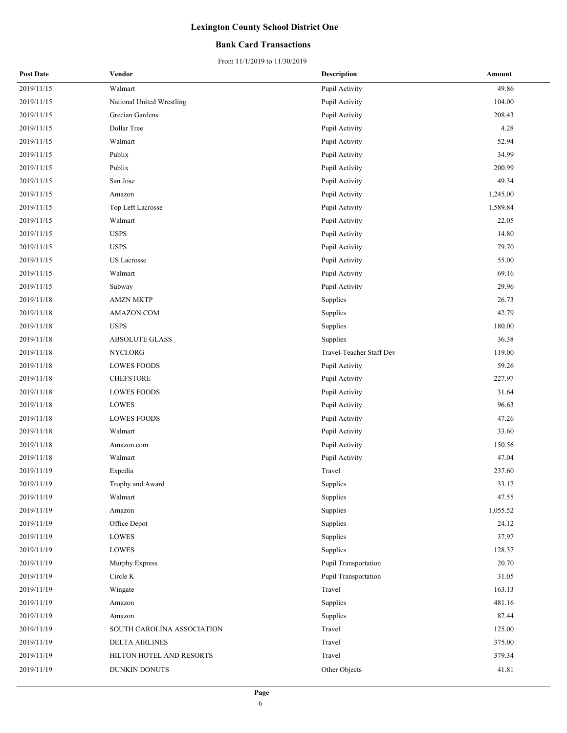### **Bank Card Transactions**

| <b>Post Date</b> | Vendor                     | <b>Description</b>       | Amount   |
|------------------|----------------------------|--------------------------|----------|
| 2019/11/15       | Walmart                    | Pupil Activity           | 49.86    |
| 2019/11/15       | National United Wrestling  | Pupil Activity           | 104.00   |
| 2019/11/15       | Grecian Gardens            | Pupil Activity           | 208.43   |
| 2019/11/15       | Dollar Tree                | Pupil Activity           | 4.28     |
| 2019/11/15       | Walmart                    | Pupil Activity           | 52.94    |
| 2019/11/15       | Publix                     | Pupil Activity           | 34.99    |
| 2019/11/15       | Publix                     | Pupil Activity           | 200.99   |
| 2019/11/15       | San Jose                   | Pupil Activity           | 49.34    |
| 2019/11/15       | Amazon                     | Pupil Activity           | 1,245.00 |
| 2019/11/15       | Top Left Lacrosse          | Pupil Activity           | 1,589.84 |
| 2019/11/15       | Walmart                    | Pupil Activity           | 22.05    |
| 2019/11/15       | <b>USPS</b>                | Pupil Activity           | 14.80    |
| 2019/11/15       | <b>USPS</b>                | Pupil Activity           | 79.70    |
| 2019/11/15       | <b>US</b> Lacrosse         | Pupil Activity           | 55.00    |
| 2019/11/15       | Walmart                    | Pupil Activity           | 69.16    |
| 2019/11/15       | Subway                     | Pupil Activity           | 29.96    |
| 2019/11/18       | <b>AMZN MKTP</b>           | Supplies                 | 26.73    |
| 2019/11/18       | AMAZON.COM                 | Supplies                 | 42.79    |
| 2019/11/18       | <b>USPS</b>                | Supplies                 | 180.00   |
| 2019/11/18       | <b>ABSOLUTE GLASS</b>      | Supplies                 | 36.38    |
| 2019/11/18       | NYCLORG                    | Travel-Teacher Staff Dev | 119.00   |
| 2019/11/18       | <b>LOWES FOODS</b>         | Pupil Activity           | 59.26    |
| 2019/11/18       | <b>CHEFSTORE</b>           | Pupil Activity           | 227.97   |
| 2019/11/18       | <b>LOWES FOODS</b>         | Pupil Activity           | 31.64    |
| 2019/11/18       | LOWES                      | Pupil Activity           | 96.63    |
| 2019/11/18       | <b>LOWES FOODS</b>         | Pupil Activity           | 47.26    |
| 2019/11/18       | Walmart                    | Pupil Activity           | 33.60    |
| 2019/11/18       | Amazon.com                 | Pupil Activity           | 150.56   |
| 2019/11/18       | Walmart                    | Pupil Activity           | 47.04    |
| 2019/11/19       | Expedia                    | Travel                   | 237.60   |
| 2019/11/19       | Trophy and Award           | Supplies                 | 33.17    |
| 2019/11/19       | Walmart                    | Supplies                 | 47.55    |
| 2019/11/19       | Amazon                     | Supplies                 | 1,055.52 |
| 2019/11/19       | Office Depot               | Supplies                 | 24.12    |
| 2019/11/19       | LOWES                      | Supplies                 | 37.97    |
| 2019/11/19       | LOWES                      | Supplies                 | 128.37   |
| 2019/11/19       | Murphy Express             | Pupil Transportation     | 20.70    |
| 2019/11/19       | Circle K                   | Pupil Transportation     | 31.05    |
| 2019/11/19       | Wingate                    | Travel                   | 163.13   |
| 2019/11/19       | Amazon                     | Supplies                 | 481.16   |
| 2019/11/19       | Amazon                     | Supplies                 | 87.44    |
| 2019/11/19       | SOUTH CAROLINA ASSOCIATION | Travel                   | 125.00   |
| 2019/11/19       | <b>DELTA AIRLINES</b>      | Travel                   | 375.00   |
| 2019/11/19       | HILTON HOTEL AND RESORTS   | Travel                   | 379.34   |
| 2019/11/19       | DUNKIN DONUTS              | Other Objects            | 41.81    |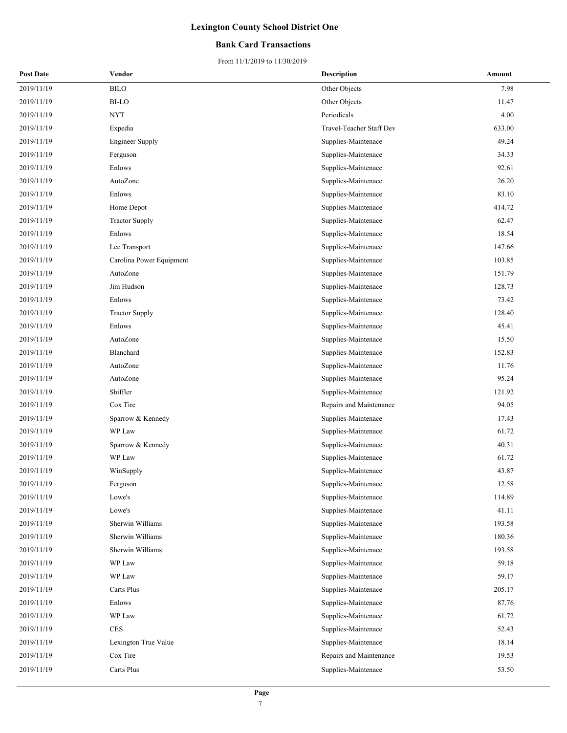### **Bank Card Transactions**

| <b>Post Date</b> | Vendor                    | <b>Description</b>       | Amount |
|------------------|---------------------------|--------------------------|--------|
| 2019/11/19       | ${\rm B} {\rm I}{\rm LO}$ | Other Objects            | 7.98   |
| 2019/11/19       | <b>BI-LO</b>              | Other Objects            | 11.47  |
| 2019/11/19       | NYT                       | Periodicals              | 4.00   |
| 2019/11/19       | Expedia                   | Travel-Teacher Staff Dev | 633.00 |
| 2019/11/19       | <b>Engineer Supply</b>    | Supplies-Maintenace      | 49.24  |
| 2019/11/19       | Ferguson                  | Supplies-Maintenace      | 34.33  |
| 2019/11/19       | Enlows                    | Supplies-Maintenace      | 92.61  |
| 2019/11/19       | AutoZone                  | Supplies-Maintenace      | 26.20  |
| 2019/11/19       | Enlows                    | Supplies-Maintenace      | 83.10  |
| 2019/11/19       | Home Depot                | Supplies-Maintenace      | 414.72 |
| 2019/11/19       | <b>Tractor Supply</b>     | Supplies-Maintenace      | 62.47  |
| 2019/11/19       | Enlows                    | Supplies-Maintenace      | 18.54  |
| 2019/11/19       | Lee Transport             | Supplies-Maintenace      | 147.66 |
| 2019/11/19       | Carolina Power Equipment  | Supplies-Maintenace      | 103.85 |
| 2019/11/19       | AutoZone                  | Supplies-Maintenace      | 151.79 |
| 2019/11/19       | Jim Hudson                | Supplies-Maintenace      | 128.73 |
| 2019/11/19       | Enlows                    | Supplies-Maintenace      | 73.42  |
| 2019/11/19       | <b>Tractor Supply</b>     | Supplies-Maintenace      | 128.40 |
| 2019/11/19       | Enlows                    | Supplies-Maintenace      | 45.41  |
| 2019/11/19       | AutoZone                  | Supplies-Maintenace      | 15.50  |
| 2019/11/19       | Blanchard                 | Supplies-Maintenace      | 152.83 |
| 2019/11/19       | AutoZone                  | Supplies-Maintenace      | 11.76  |
| 2019/11/19       | AutoZone                  | Supplies-Maintenace      | 95.24  |
| 2019/11/19       | Shiffler                  | Supplies-Maintenace      | 121.92 |
| 2019/11/19       | Cox Tire                  | Repairs and Maintenance  | 94.05  |
| 2019/11/19       | Sparrow & Kennedy         | Supplies-Maintenace      | 17.43  |
| 2019/11/19       | WP Law                    | Supplies-Maintenace      | 61.72  |
| 2019/11/19       | Sparrow & Kennedy         | Supplies-Maintenace      | 40.31  |
| 2019/11/19       | WP Law                    | Supplies-Maintenace      | 61.72  |
| 2019/11/19       | WinSupply                 | Supplies-Maintenace      | 43.87  |
| 2019/11/19       | Ferguson                  | Supplies-Maintenace      | 12.58  |
| 2019/11/19       | Lowe's                    | Supplies-Maintenace      | 114.89 |
| 2019/11/19       | Lowe's                    | Supplies-Maintenace      | 41.11  |
| 2019/11/19       | Sherwin Williams          | Supplies-Maintenace      | 193.58 |
| 2019/11/19       | Sherwin Williams          | Supplies-Maintenace      | 180.36 |
| 2019/11/19       | Sherwin Williams          | Supplies-Maintenace      | 193.58 |
| 2019/11/19       | $\operatorname{WP}$ Law   | Supplies-Maintenace      | 59.18  |
| 2019/11/19       | WP Law                    | Supplies-Maintenace      | 59.17  |
| 2019/11/19       | Carts Plus                | Supplies-Maintenace      | 205.17 |
| 2019/11/19       | Enlows                    | Supplies-Maintenace      | 87.76  |
| 2019/11/19       | WP Law                    | Supplies-Maintenace      | 61.72  |
| 2019/11/19       | <b>CES</b>                | Supplies-Maintenace      | 52.43  |
| 2019/11/19       | Lexington True Value      | Supplies-Maintenace      | 18.14  |
| 2019/11/19       | Cox Tire                  | Repairs and Maintenance  | 19.53  |
| 2019/11/19       | Carts Plus                | Supplies-Maintenace      | 53.50  |
|                  |                           |                          |        |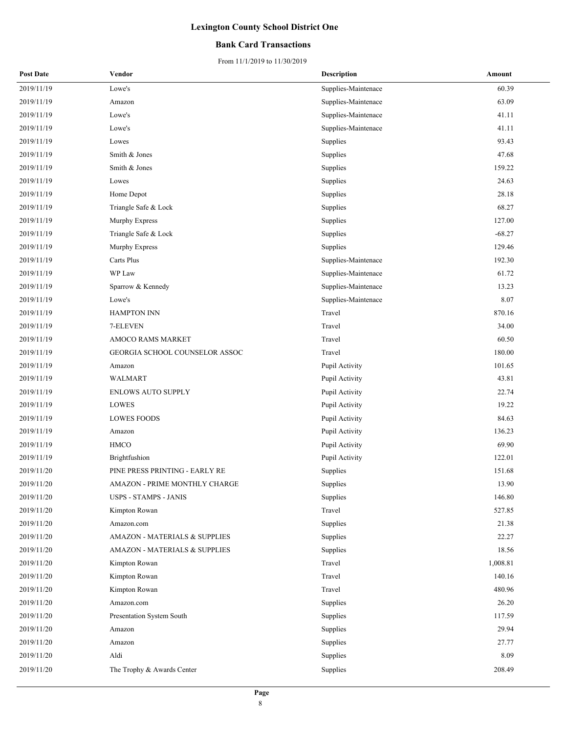### **Bank Card Transactions**

| <b>Post Date</b> | Vendor                                   | <b>Description</b>  | Amount   |
|------------------|------------------------------------------|---------------------|----------|
| 2019/11/19       | Lowe's                                   | Supplies-Maintenace | 60.39    |
| 2019/11/19       | Amazon                                   | Supplies-Maintenace | 63.09    |
| 2019/11/19       | Lowe's                                   | Supplies-Maintenace | 41.11    |
| 2019/11/19       | Lowe's                                   | Supplies-Maintenace | 41.11    |
| 2019/11/19       | Lowes                                    | Supplies            | 93.43    |
| 2019/11/19       | Smith & Jones                            | Supplies            | 47.68    |
| 2019/11/19       | Smith & Jones                            | Supplies            | 159.22   |
| 2019/11/19       | Lowes                                    | Supplies            | 24.63    |
| 2019/11/19       | Home Depot                               | Supplies            | 28.18    |
| 2019/11/19       | Triangle Safe & Lock                     | Supplies            | 68.27    |
| 2019/11/19       | Murphy Express                           | Supplies            | 127.00   |
| 2019/11/19       | Triangle Safe & Lock                     | Supplies            | $-68.27$ |
| 2019/11/19       | Murphy Express                           | Supplies            | 129.46   |
| 2019/11/19       | Carts Plus                               | Supplies-Maintenace | 192.30   |
| 2019/11/19       | WP Law                                   | Supplies-Maintenace | 61.72    |
| 2019/11/19       | Sparrow & Kennedy                        | Supplies-Maintenace | 13.23    |
| 2019/11/19       | Lowe's                                   | Supplies-Maintenace | 8.07     |
| 2019/11/19       | <b>HAMPTON INN</b>                       | Travel              | 870.16   |
| 2019/11/19       | 7-ELEVEN                                 | Travel              | 34.00    |
| 2019/11/19       | AMOCO RAMS MARKET                        | Travel              | 60.50    |
| 2019/11/19       | GEORGIA SCHOOL COUNSELOR ASSOC           | Travel              | 180.00   |
| 2019/11/19       | Amazon                                   | Pupil Activity      | 101.65   |
| 2019/11/19       | WALMART                                  | Pupil Activity      | 43.81    |
| 2019/11/19       | <b>ENLOWS AUTO SUPPLY</b>                | Pupil Activity      | 22.74    |
| 2019/11/19       | LOWES                                    | Pupil Activity      | 19.22    |
| 2019/11/19       | <b>LOWES FOODS</b>                       | Pupil Activity      | 84.63    |
| 2019/11/19       | Amazon                                   | Pupil Activity      | 136.23   |
| 2019/11/19       | HMCO                                     | Pupil Activity      | 69.90    |
| 2019/11/19       | Brightfushion                            | Pupil Activity      | 122.01   |
| 2019/11/20       | PINE PRESS PRINTING - EARLY RE           | Supplies            | 151.68   |
| 2019/11/20       | AMAZON - PRIME MONTHLY CHARGE            | Supplies            | 13.90    |
| 2019/11/20       | <b>USPS - STAMPS - JANIS</b>             | Supplies            | 146.80   |
| 2019/11/20       | Kimpton Rowan                            | Travel              | 527.85   |
| 2019/11/20       | Amazon.com                               | Supplies            | 21.38    |
| 2019/11/20       | <b>AMAZON - MATERIALS &amp; SUPPLIES</b> | Supplies            | 22.27    |
| 2019/11/20       | <b>AMAZON - MATERIALS &amp; SUPPLIES</b> | Supplies            | 18.56    |
| 2019/11/20       | Kimpton Rowan                            | Travel              | 1,008.81 |
| 2019/11/20       | Kimpton Rowan                            | Travel              | 140.16   |
| 2019/11/20       | Kimpton Rowan                            | Travel              | 480.96   |
| 2019/11/20       | Amazon.com                               | Supplies            | 26.20    |
| 2019/11/20       | Presentation System South                | Supplies            | 117.59   |
| 2019/11/20       | Amazon                                   | Supplies            | 29.94    |
| 2019/11/20       | Amazon                                   | Supplies            | 27.77    |
| 2019/11/20       | Aldi                                     | Supplies            | 8.09     |
| 2019/11/20       | The Trophy & Awards Center               | Supplies            | 208.49   |
|                  |                                          |                     |          |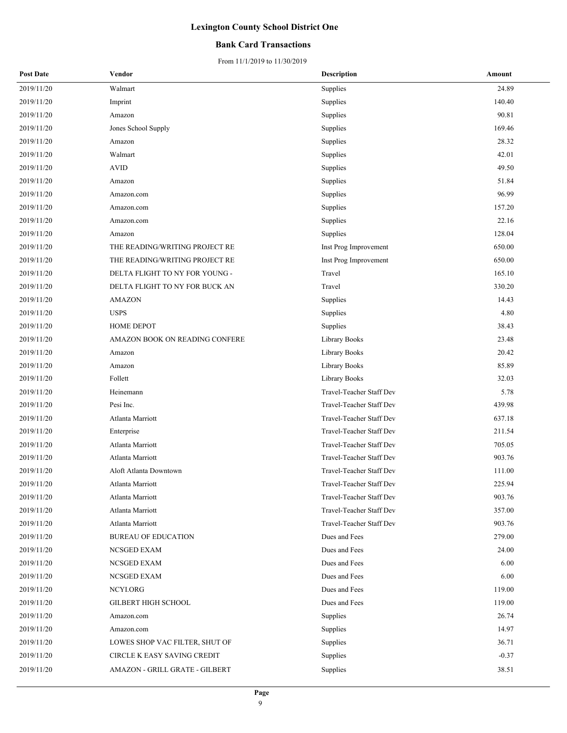### **Bank Card Transactions**

| <b>Post Date</b> | Vendor                         | <b>Description</b>       | Amount  |
|------------------|--------------------------------|--------------------------|---------|
| 2019/11/20       | Walmart                        | Supplies                 | 24.89   |
| 2019/11/20       | Imprint                        | Supplies                 | 140.40  |
| 2019/11/20       | Amazon                         | Supplies                 | 90.81   |
| 2019/11/20       | Jones School Supply            | Supplies                 | 169.46  |
| 2019/11/20       | Amazon                         | Supplies                 | 28.32   |
| 2019/11/20       | Walmart                        | Supplies                 | 42.01   |
| 2019/11/20       | <b>AVID</b>                    | Supplies                 | 49.50   |
| 2019/11/20       | Amazon                         | Supplies                 | 51.84   |
| 2019/11/20       | Amazon.com                     | Supplies                 | 96.99   |
| 2019/11/20       | Amazon.com                     | Supplies                 | 157.20  |
| 2019/11/20       | Amazon.com                     | Supplies                 | 22.16   |
| 2019/11/20       | Amazon                         | Supplies                 | 128.04  |
| 2019/11/20       | THE READING/WRITING PROJECT RE | Inst Prog Improvement    | 650.00  |
| 2019/11/20       | THE READING/WRITING PROJECT RE | Inst Prog Improvement    | 650.00  |
| 2019/11/20       | DELTA FLIGHT TO NY FOR YOUNG - | Travel                   | 165.10  |
| 2019/11/20       | DELTA FLIGHT TO NY FOR BUCK AN | Travel                   | 330.20  |
| 2019/11/20       | <b>AMAZON</b>                  | Supplies                 | 14.43   |
| 2019/11/20       | <b>USPS</b>                    | Supplies                 | 4.80    |
| 2019/11/20       | <b>HOME DEPOT</b>              | Supplies                 | 38.43   |
| 2019/11/20       | AMAZON BOOK ON READING CONFERE | Library Books            | 23.48   |
| 2019/11/20       | Amazon                         | Library Books            | 20.42   |
| 2019/11/20       | Amazon                         | Library Books            | 85.89   |
| 2019/11/20       | Follett                        | Library Books            | 32.03   |
| 2019/11/20       | Heinemann                      | Travel-Teacher Staff Dev | 5.78    |
| 2019/11/20       | Pesi Inc.                      | Travel-Teacher Staff Dev | 439.98  |
| 2019/11/20       | Atlanta Marriott               | Travel-Teacher Staff Dev | 637.18  |
| 2019/11/20       | Enterprise                     | Travel-Teacher Staff Dev | 211.54  |
| 2019/11/20       | <b>Atlanta Marriott</b>        | Travel-Teacher Staff Dev | 705.05  |
| 2019/11/20       | Atlanta Marriott               | Travel-Teacher Staff Dev | 903.76  |
| 2019/11/20       | Aloft Atlanta Downtown         | Travel-Teacher Staff Dev | 111.00  |
| 2019/11/20       | Atlanta Marriott               | Travel-Teacher Staff Dev | 225.94  |
| 2019/11/20       | Atlanta Marriott               | Travel-Teacher Staff Dev | 903.76  |
| 2019/11/20       | Atlanta Marriott               | Travel-Teacher Staff Dev | 357.00  |
| 2019/11/20       | Atlanta Marriott               | Travel-Teacher Staff Dev | 903.76  |
| 2019/11/20       | <b>BUREAU OF EDUCATION</b>     | Dues and Fees            | 279.00  |
| 2019/11/20       | NCSGED EXAM                    | Dues and Fees            | 24.00   |
| 2019/11/20       | NCSGED EXAM                    | Dues and Fees            | 6.00    |
| 2019/11/20       | NCSGED EXAM                    | Dues and Fees            | 6.00    |
| 2019/11/20       | NCYI.ORG                       | Dues and Fees            | 119.00  |
| 2019/11/20       | GILBERT HIGH SCHOOL            | Dues and Fees            | 119.00  |
| 2019/11/20       | Amazon.com                     | Supplies                 | 26.74   |
| 2019/11/20       | Amazon.com                     | Supplies                 | 14.97   |
| 2019/11/20       | LOWES SHOP VAC FILTER, SHUT OF | Supplies                 | 36.71   |
| 2019/11/20       | CIRCLE K EASY SAVING CREDIT    | Supplies                 | $-0.37$ |
| 2019/11/20       | AMAZON - GRILL GRATE - GILBERT | Supplies                 | 38.51   |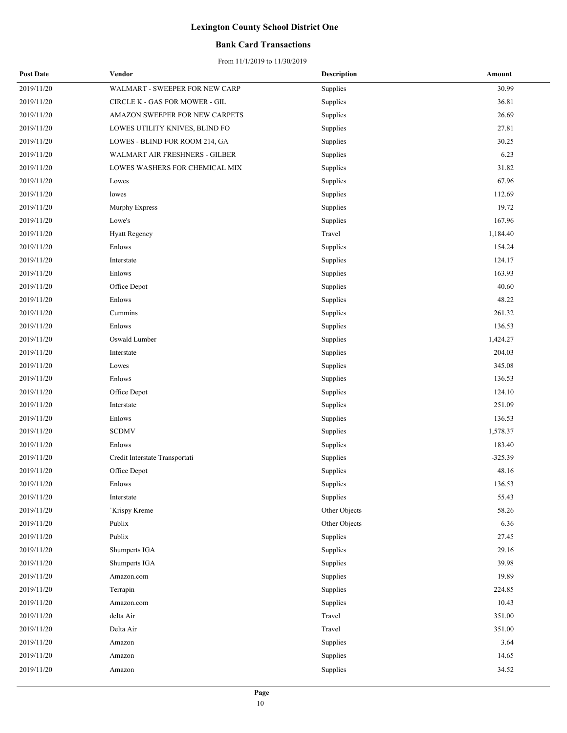### **Bank Card Transactions**

| <b>Post Date</b> | Vendor                         | <b>Description</b> | Amount    |
|------------------|--------------------------------|--------------------|-----------|
| 2019/11/20       | WALMART - SWEEPER FOR NEW CARP | Supplies           | 30.99     |
| 2019/11/20       | CIRCLE K - GAS FOR MOWER - GIL | Supplies           | 36.81     |
| 2019/11/20       | AMAZON SWEEPER FOR NEW CARPETS | Supplies           | 26.69     |
| 2019/11/20       | LOWES UTILITY KNIVES, BLIND FO | Supplies           | 27.81     |
| 2019/11/20       | LOWES - BLIND FOR ROOM 214, GA | Supplies           | 30.25     |
| 2019/11/20       | WALMART AIR FRESHNERS - GILBER | Supplies           | 6.23      |
| 2019/11/20       | LOWES WASHERS FOR CHEMICAL MIX | Supplies           | 31.82     |
| 2019/11/20       | Lowes                          | Supplies           | 67.96     |
| 2019/11/20       | lowes                          | Supplies           | 112.69    |
| 2019/11/20       | Murphy Express                 | Supplies           | 19.72     |
| 2019/11/20       | Lowe's                         | Supplies           | 167.96    |
| 2019/11/20       | <b>Hyatt Regency</b>           | Travel             | 1,184.40  |
| 2019/11/20       | Enlows                         | Supplies           | 154.24    |
| 2019/11/20       | Interstate                     | Supplies           | 124.17    |
| 2019/11/20       | Enlows                         | Supplies           | 163.93    |
| 2019/11/20       | Office Depot                   | Supplies           | 40.60     |
| 2019/11/20       | Enlows                         | Supplies           | 48.22     |
| 2019/11/20       | Cummins                        | Supplies           | 261.32    |
| 2019/11/20       | Enlows                         | Supplies           | 136.53    |
| 2019/11/20       | Oswald Lumber                  | Supplies           | 1,424.27  |
| 2019/11/20       | Interstate                     | Supplies           | 204.03    |
| 2019/11/20       | Lowes                          | Supplies           | 345.08    |
| 2019/11/20       | Enlows                         | Supplies           | 136.53    |
| 2019/11/20       | Office Depot                   | Supplies           | 124.10    |
| 2019/11/20       | Interstate                     | Supplies           | 251.09    |
| 2019/11/20       | Enlows                         | Supplies           | 136.53    |
| 2019/11/20       | <b>SCDMV</b>                   | Supplies           | 1,578.37  |
| 2019/11/20       | Enlows                         | Supplies           | 183.40    |
| 2019/11/20       | Credit Interstate Transportati | Supplies           | $-325.39$ |
| 2019/11/20       | Office Depot                   | Supplies           | 48.16     |
| 2019/11/20       | Enlows                         | Supplies           | 136.53    |
| 2019/11/20       | Interstate                     | Supplies           | 55.43     |
| 2019/11/20       | 'Krispy Kreme                  | Other Objects      | 58.26     |
| 2019/11/20       | Publix                         | Other Objects      | 6.36      |
| 2019/11/20       | Publix                         | Supplies           | 27.45     |
| 2019/11/20       | Shumperts IGA                  | Supplies           | 29.16     |
| 2019/11/20       | Shumperts IGA                  | Supplies           | 39.98     |
| 2019/11/20       | Amazon.com                     | Supplies           | 19.89     |
| 2019/11/20       | Terrapin                       | Supplies           | 224.85    |
| 2019/11/20       | Amazon.com                     | Supplies           | 10.43     |
| 2019/11/20       | delta Air                      | Travel             | 351.00    |
| 2019/11/20       | Delta Air                      | Travel             | 351.00    |
| 2019/11/20       | Amazon                         | Supplies           | 3.64      |
| 2019/11/20       | Amazon                         | Supplies           | 14.65     |
| 2019/11/20       | Amazon                         | Supplies           | 34.52     |
|                  |                                |                    |           |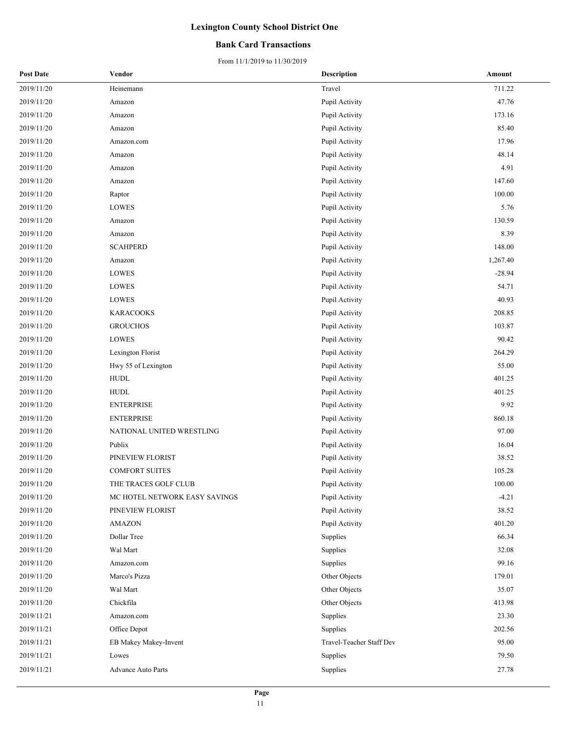### **Bank Card Transactions**

| <b>Post Date</b> | Vendor                        | <b>Description</b>       | Amount   |
|------------------|-------------------------------|--------------------------|----------|
| 2019/11/20       | Heinemann                     | Travel                   | 711.22   |
| 2019/11/20       | Amazon                        | Pupil Activity           | 47.76    |
| 2019/11/20       | Amazon                        | Pupil Activity           | 173.16   |
| 2019/11/20       | Amazon                        | Pupil Activity           | 85.40    |
| 2019/11/20       | Amazon.com                    | Pupil Activity           | 17.96    |
| 2019/11/20       | Amazon                        | Pupil Activity           | 48.14    |
| 2019/11/20       | Amazon                        | Pupil Activity           | 4.91     |
| 2019/11/20       | Amazon                        | Pupil Activity           | 147.60   |
| 2019/11/20       | Raptor                        | Pupil Activity           | 100.00   |
| 2019/11/20       | LOWES                         | Pupil Activity           | 5.76     |
| 2019/11/20       | Amazon                        | Pupil Activity           | 130.59   |
| 2019/11/20       | Amazon                        | Pupil Activity           | 8.39     |
| 2019/11/20       | <b>SCAHPERD</b>               | Pupil Activity           | 148.00   |
| 2019/11/20       | Amazon                        | Pupil Activity           | 1,267.40 |
| 2019/11/20       | LOWES                         | Pupil Activity           | $-28.94$ |
| 2019/11/20       | LOWES                         | Pupil Activity           | 54.71    |
| 2019/11/20       | LOWES                         | Pupil Activity           | 40.93    |
| 2019/11/20       | <b>KARACOOKS</b>              | Pupil Activity           | 208.85   |
| 2019/11/20       | <b>GROUCHOS</b>               | Pupil Activity           | 103.87   |
| 2019/11/20       | $\operatorname{LOWES}$        | Pupil Activity           | 90.42    |
| 2019/11/20       | Lexington Florist             | Pupil Activity           | 264.29   |
| 2019/11/20       | Hwy 55 of Lexington           | Pupil Activity           | 55.00    |
| 2019/11/20       | <b>HUDL</b>                   | Pupil Activity           | 401.25   |
| 2019/11/20       | <b>HUDL</b>                   | Pupil Activity           | 401.25   |
| 2019/11/20       | <b>ENTERPRISE</b>             | Pupil Activity           | 9.92     |
| 2019/11/20       | <b>ENTERPRISE</b>             | Pupil Activity           | 860.18   |
| 2019/11/20       | NATIONAL UNITED WRESTLING     | Pupil Activity           | 97.00    |
| 2019/11/20       | Publix                        | Pupil Activity           | 16.04    |
| 2019/11/20       | PINEVIEW FLORIST              | Pupil Activity           | 38.52    |
| 2019/11/20       | <b>COMFORT SUITES</b>         | Pupil Activity           | 105.28   |
| 2019/11/20       | THE TRACES GOLF CLUB          | Pupil Activity           | 100.00   |
| 2019/11/20       | MC HOTEL NETWORK EASY SAVINGS | Pupil Activity           | $-4.21$  |
| 2019/11/20       | PINEVIEW FLORIST              | Pupil Activity           | 38.52    |
| 2019/11/20       | <b>AMAZON</b>                 | Pupil Activity           | 401.20   |
| 2019/11/20       | Dollar Tree                   | Supplies                 | 66.34    |
| 2019/11/20       | Wal Mart                      | Supplies                 | 32.08    |
| 2019/11/20       | Amazon.com                    | Supplies                 | 99.16    |
| 2019/11/20       | Marco's Pizza                 | Other Objects            | 179.01   |
| 2019/11/20       | Wal Mart                      | Other Objects            | 35.07    |
| 2019/11/20       | Chickfila                     | Other Objects            | 413.98   |
| 2019/11/21       | Amazon.com                    | Supplies                 | 23.30    |
| 2019/11/21       | Office Depot                  | Supplies                 | 202.56   |
| 2019/11/21       | EB Makey Makey-Invent         | Travel-Teacher Staff Dev | 95.00    |
| 2019/11/21       | Lowes                         | Supplies                 | 79.50    |
| 2019/11/21       | <b>Advance Auto Parts</b>     | Supplies                 | 27.78    |
|                  |                               |                          |          |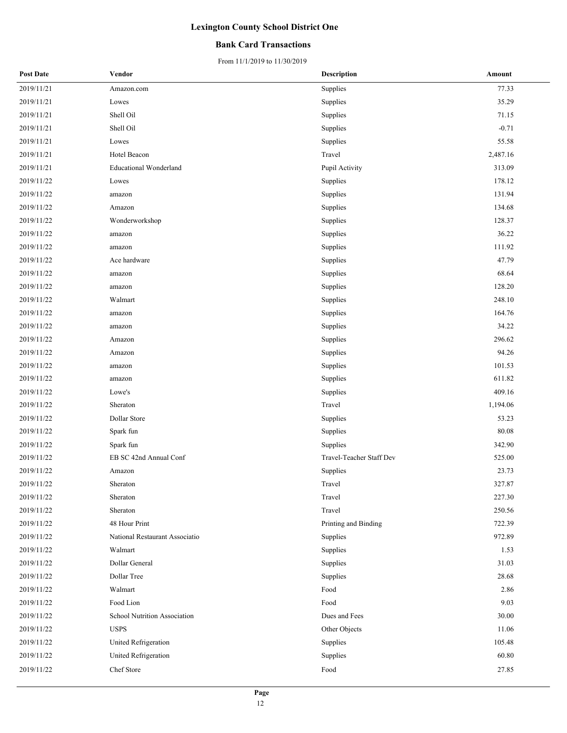### **Bank Card Transactions**

| <b>Post Date</b> | Vendor                         | <b>Description</b>       | Amount   |
|------------------|--------------------------------|--------------------------|----------|
| 2019/11/21       | Amazon.com                     | Supplies                 | 77.33    |
| 2019/11/21       | Lowes                          | Supplies                 | 35.29    |
| 2019/11/21       | Shell Oil                      | Supplies                 | 71.15    |
| 2019/11/21       | Shell Oil                      | Supplies                 | $-0.71$  |
| 2019/11/21       | Lowes                          | Supplies                 | 55.58    |
| 2019/11/21       | Hotel Beacon                   | Travel                   | 2,487.16 |
| 2019/11/21       | <b>Educational Wonderland</b>  | Pupil Activity           | 313.09   |
| 2019/11/22       | Lowes                          | Supplies                 | 178.12   |
| 2019/11/22       | amazon                         | Supplies                 | 131.94   |
| 2019/11/22       | Amazon                         | Supplies                 | 134.68   |
| 2019/11/22       | Wonderworkshop                 | Supplies                 | 128.37   |
| 2019/11/22       | amazon                         | Supplies                 | 36.22    |
| 2019/11/22       | amazon                         | Supplies                 | 111.92   |
| 2019/11/22       | Ace hardware                   | Supplies                 | 47.79    |
| 2019/11/22       | amazon                         | Supplies                 | 68.64    |
| 2019/11/22       | amazon                         | Supplies                 | 128.20   |
| 2019/11/22       | Walmart                        | Supplies                 | 248.10   |
| 2019/11/22       | amazon                         | Supplies                 | 164.76   |
| 2019/11/22       | amazon                         | Supplies                 | 34.22    |
| 2019/11/22       | Amazon                         | Supplies                 | 296.62   |
| 2019/11/22       | Amazon                         | Supplies                 | 94.26    |
| 2019/11/22       | amazon                         | Supplies                 | 101.53   |
| 2019/11/22       | amazon                         | Supplies                 | 611.82   |
| 2019/11/22       | Lowe's                         | Supplies                 | 409.16   |
| 2019/11/22       | Sheraton                       | Travel                   | 1,194.06 |
| 2019/11/22       | Dollar Store                   | Supplies                 | 53.23    |
| 2019/11/22       | Spark fun                      | Supplies                 | 80.08    |
| 2019/11/22       | Spark fun                      | Supplies                 | 342.90   |
| 2019/11/22       | EB SC 42nd Annual Conf         | Travel-Teacher Staff Dev | 525.00   |
| 2019/11/22       | Amazon                         | Supplies                 | 23.73    |
| 2019/11/22       | Sheraton                       | Travel                   | 327.87   |
| 2019/11/22       | Sheraton                       | Travel                   | 227.30   |
| 2019/11/22       | Sheraton                       | Travel                   | 250.56   |
| 2019/11/22       | 48 Hour Print                  | Printing and Binding     | 722.39   |
| 2019/11/22       | National Restaurant Associatio | Supplies                 | 972.89   |
| 2019/11/22       | Walmart                        | Supplies                 | 1.53     |
| 2019/11/22       | Dollar General                 | Supplies                 | 31.03    |
| 2019/11/22       | Dollar Tree                    | Supplies                 | 28.68    |
| 2019/11/22       | Walmart                        | Food                     | 2.86     |
| 2019/11/22       | Food Lion                      | Food                     | 9.03     |
| 2019/11/22       | School Nutrition Association   | Dues and Fees            | 30.00    |
| 2019/11/22       | <b>USPS</b>                    | Other Objects            | 11.06    |
| 2019/11/22       | United Refrigeration           | Supplies                 | 105.48   |
| 2019/11/22       | United Refrigeration           | Supplies                 | 60.80    |
| 2019/11/22       | Chef Store                     | Food                     | 27.85    |
|                  |                                |                          |          |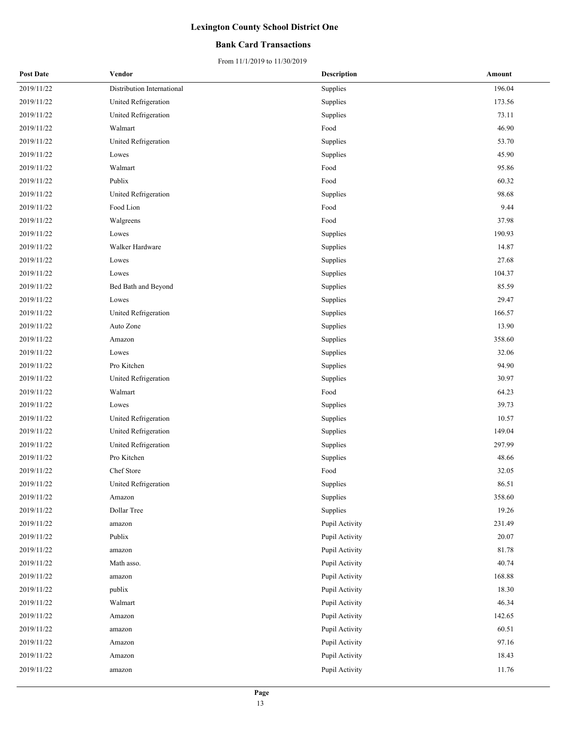### **Bank Card Transactions**

| <b>Post Date</b> | Vendor                     | <b>Description</b> | Amount |
|------------------|----------------------------|--------------------|--------|
| 2019/11/22       | Distribution International | Supplies           | 196.04 |
| 2019/11/22       | United Refrigeration       | Supplies           | 173.56 |
| 2019/11/22       | United Refrigeration       | Supplies           | 73.11  |
| 2019/11/22       | Walmart                    | Food               | 46.90  |
| 2019/11/22       | United Refrigeration       | Supplies           | 53.70  |
| 2019/11/22       | Lowes                      | Supplies           | 45.90  |
| 2019/11/22       | Walmart                    | Food               | 95.86  |
| 2019/11/22       | Publix                     | Food               | 60.32  |
| 2019/11/22       | United Refrigeration       | Supplies           | 98.68  |
| 2019/11/22       | Food Lion                  | Food               | 9.44   |
| 2019/11/22       | Walgreens                  | Food               | 37.98  |
| 2019/11/22       | Lowes                      | Supplies           | 190.93 |
| 2019/11/22       | Walker Hardware            | Supplies           | 14.87  |
| 2019/11/22       | Lowes                      | Supplies           | 27.68  |
| 2019/11/22       | Lowes                      | Supplies           | 104.37 |
| 2019/11/22       | Bed Bath and Beyond        | Supplies           | 85.59  |
| 2019/11/22       | Lowes                      | Supplies           | 29.47  |
| 2019/11/22       | United Refrigeration       | Supplies           | 166.57 |
| 2019/11/22       | Auto Zone                  | Supplies           | 13.90  |
| 2019/11/22       | Amazon                     | Supplies           | 358.60 |
| 2019/11/22       | Lowes                      | Supplies           | 32.06  |
| 2019/11/22       | Pro Kitchen                | Supplies           | 94.90  |
| 2019/11/22       | United Refrigeration       | Supplies           | 30.97  |
| 2019/11/22       | Walmart                    | Food               | 64.23  |
| 2019/11/22       | Lowes                      | Supplies           | 39.73  |
| 2019/11/22       | United Refrigeration       | Supplies           | 10.57  |
| 2019/11/22       | United Refrigeration       | Supplies           | 149.04 |
| 2019/11/22       | United Refrigeration       | Supplies           | 297.99 |
| 2019/11/22       | Pro Kitchen                | Supplies           | 48.66  |
| 2019/11/22       | Chef Store                 | Food               | 32.05  |
| 2019/11/22       | United Refrigeration       | Supplies           | 86.51  |
| 2019/11/22       | Amazon                     | Supplies           | 358.60 |
| 2019/11/22       | Dollar Tree                | Supplies           | 19.26  |
| 2019/11/22       | amazon                     | Pupil Activity     | 231.49 |
| 2019/11/22       | Publix                     | Pupil Activity     | 20.07  |
| 2019/11/22       | amazon                     | Pupil Activity     | 81.78  |
| 2019/11/22       | Math asso.                 | Pupil Activity     | 40.74  |
| 2019/11/22       | amazon                     | Pupil Activity     | 168.88 |
| 2019/11/22       | publix                     | Pupil Activity     | 18.30  |
| 2019/11/22       | Walmart                    | Pupil Activity     | 46.34  |
| 2019/11/22       | Amazon                     | Pupil Activity     | 142.65 |
| 2019/11/22       | amazon                     | Pupil Activity     | 60.51  |
| 2019/11/22       | Amazon                     | Pupil Activity     | 97.16  |
| 2019/11/22       | Amazon                     | Pupil Activity     | 18.43  |
| 2019/11/22       | amazon                     | Pupil Activity     | 11.76  |
|                  |                            |                    |        |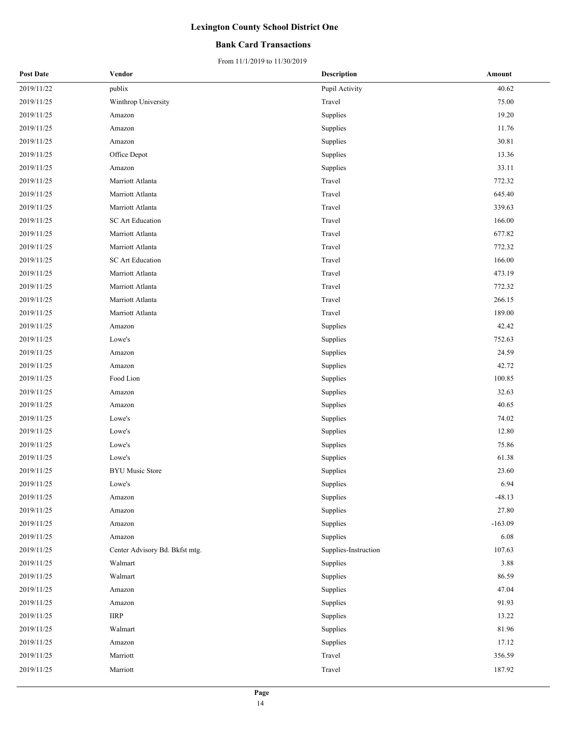### **Bank Card Transactions**

| <b>Post Date</b> | Vendor                         | <b>Description</b>   | Amount    |
|------------------|--------------------------------|----------------------|-----------|
| 2019/11/22       | publix                         | Pupil Activity       | 40.62     |
| 2019/11/25       | Winthrop University            | Travel               | 75.00     |
| 2019/11/25       | Amazon                         | Supplies             | 19.20     |
| 2019/11/25       | Amazon                         | Supplies             | 11.76     |
| 2019/11/25       | Amazon                         | Supplies             | 30.81     |
| 2019/11/25       | Office Depot                   | Supplies             | 13.36     |
| 2019/11/25       | Amazon                         | Supplies             | 33.11     |
| 2019/11/25       | Marriott Atlanta               | Travel               | 772.32    |
| 2019/11/25       | Marriott Atlanta               | Travel               | 645.40    |
| 2019/11/25       | Marriott Atlanta               | Travel               | 339.63    |
| 2019/11/25       | SC Art Education               | Travel               | 166.00    |
| 2019/11/25       | Marriott Atlanta               | Travel               | 677.82    |
| 2019/11/25       | Marriott Atlanta               | Travel               | 772.32    |
| 2019/11/25       | SC Art Education               | Travel               | 166.00    |
| 2019/11/25       | Marriott Atlanta               | Travel               | 473.19    |
| 2019/11/25       | Marriott Atlanta               | Travel               | 772.32    |
| 2019/11/25       | Marriott Atlanta               | Travel               | 266.15    |
| 2019/11/25       | Marriott Atlanta               | Travel               | 189.00    |
| 2019/11/25       | Amazon                         | Supplies             | 42.42     |
| 2019/11/25       | Lowe's                         | Supplies             | 752.63    |
| 2019/11/25       | Amazon                         | Supplies             | 24.59     |
| 2019/11/25       | Amazon                         | Supplies             | 42.72     |
| 2019/11/25       | Food Lion                      | Supplies             | 100.85    |
| 2019/11/25       | Amazon                         | Supplies             | 32.63     |
| 2019/11/25       | Amazon                         | Supplies             | 40.65     |
| 2019/11/25       | Lowe's                         | Supplies             | 74.02     |
| 2019/11/25       | Lowe's                         | Supplies             | 12.80     |
| 2019/11/25       | Lowe's                         | Supplies             | 75.86     |
| 2019/11/25       | Lowe's                         | Supplies             | 61.38     |
| 2019/11/25       | <b>BYU Music Store</b>         | Supplies             | 23.60     |
| 2019/11/25       | Lowe's                         | Supplies             | 6.94      |
| 2019/11/25       | Amazon                         | Supplies             | $-48.13$  |
| 2019/11/25       | Amazon                         | Supplies             | 27.80     |
| 2019/11/25       | Amazon                         | Supplies             | $-163.09$ |
| 2019/11/25       | Amazon                         | Supplies             | 6.08      |
| 2019/11/25       | Center Advisory Bd. Bkfst mtg. | Supplies-Instruction | 107.63    |
| 2019/11/25       | Walmart                        | Supplies             | 3.88      |
| 2019/11/25       | Walmart                        | Supplies             | 86.59     |
| 2019/11/25       | Amazon                         | Supplies             | 47.04     |
| 2019/11/25       | Amazon                         | Supplies             | 91.93     |
| 2019/11/25       | <b>IIRP</b>                    | Supplies             | 13.22     |
| 2019/11/25       | Walmart                        | Supplies             | 81.96     |
| 2019/11/25       | Amazon                         | Supplies             | 17.12     |
| 2019/11/25       | Marriott                       | Travel               | 356.59    |
| 2019/11/25       | Marriott                       | Travel               | 187.92    |
|                  |                                |                      |           |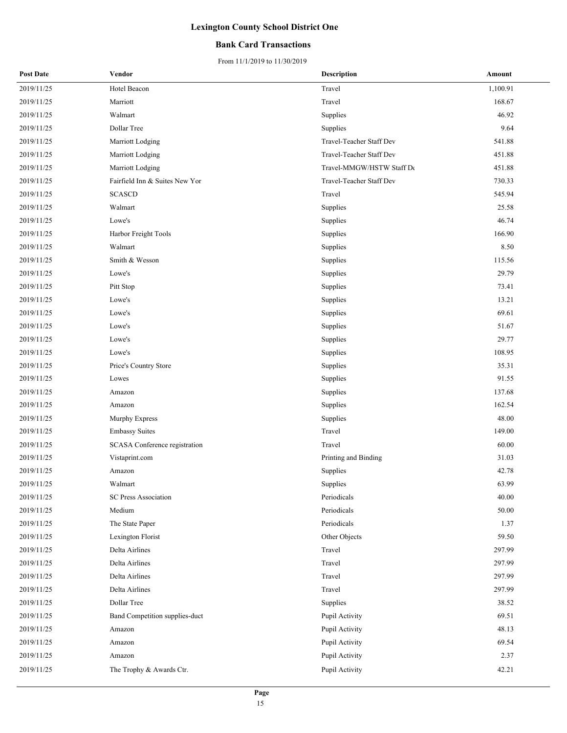### **Bank Card Transactions**

| <b>Post Date</b> | Vendor                         | Description               | Amount   |
|------------------|--------------------------------|---------------------------|----------|
| 2019/11/25       | Hotel Beacon                   | Travel                    | 1,100.91 |
| 2019/11/25       | Marriott                       | Travel                    | 168.67   |
| 2019/11/25       | Walmart                        | Supplies                  | 46.92    |
| 2019/11/25       | Dollar Tree                    | Supplies                  | 9.64     |
| 2019/11/25       | Marriott Lodging               | Travel-Teacher Staff Dev  | 541.88   |
| 2019/11/25       | Marriott Lodging               | Travel-Teacher Staff Dev  | 451.88   |
| 2019/11/25       | Marriott Lodging               | Travel-MMGW/HSTW Staff De | 451.88   |
| 2019/11/25       | Fairfield Inn & Suites New Yor | Travel-Teacher Staff Dev  | 730.33   |
| 2019/11/25       | <b>SCASCD</b>                  | Travel                    | 545.94   |
| 2019/11/25       | Walmart                        | Supplies                  | 25.58    |
| 2019/11/25       | Lowe's                         | Supplies                  | 46.74    |
| 2019/11/25       | Harbor Freight Tools           | Supplies                  | 166.90   |
| 2019/11/25       | Walmart                        | Supplies                  | 8.50     |
| 2019/11/25       | Smith & Wesson                 | Supplies                  | 115.56   |
| 2019/11/25       | Lowe's                         | Supplies                  | 29.79    |
| 2019/11/25       | Pitt Stop                      | Supplies                  | 73.41    |
| 2019/11/25       | Lowe's                         | Supplies                  | 13.21    |
| 2019/11/25       | Lowe's                         | Supplies                  | 69.61    |
| 2019/11/25       | Lowe's                         | Supplies                  | 51.67    |
| 2019/11/25       | Lowe's                         | Supplies                  | 29.77    |
| 2019/11/25       | Lowe's                         | Supplies                  | 108.95   |
| 2019/11/25       | Price's Country Store          | Supplies                  | 35.31    |
| 2019/11/25       | Lowes                          | Supplies                  | 91.55    |
| 2019/11/25       | Amazon                         | Supplies                  | 137.68   |
| 2019/11/25       | Amazon                         | Supplies                  | 162.54   |
| 2019/11/25       | Murphy Express                 | Supplies                  | 48.00    |
| 2019/11/25       | <b>Embassy Suites</b>          | Travel                    | 149.00   |
| 2019/11/25       | SCASA Conference registration  | Travel                    | 60.00    |
| 2019/11/25       | Vistaprint.com                 | Printing and Binding      | 31.03    |
| 2019/11/25       | Amazon                         | Supplies                  | 42.78    |
| 2019/11/25       | Walmart                        | Supplies                  | 63.99    |
| 2019/11/25       | <b>SC Press Association</b>    | Periodicals               | 40.00    |
| 2019/11/25       | Medium                         | Periodicals               | 50.00    |
| 2019/11/25       | The State Paper                | Periodicals               | 1.37     |
| 2019/11/25       | Lexington Florist              | Other Objects             | 59.50    |
| 2019/11/25       | Delta Airlines                 | Travel                    | 297.99   |
| 2019/11/25       | Delta Airlines                 | Travel                    | 297.99   |
| 2019/11/25       | Delta Airlines                 | Travel                    | 297.99   |
| 2019/11/25       | Delta Airlines                 | Travel                    | 297.99   |
| 2019/11/25       | Dollar Tree                    | Supplies                  | 38.52    |
| 2019/11/25       | Band Competition supplies-duct | Pupil Activity            | 69.51    |
| 2019/11/25       | Amazon                         | Pupil Activity            | 48.13    |
| 2019/11/25       | Amazon                         | Pupil Activity            | 69.54    |
| 2019/11/25       | Amazon                         | Pupil Activity            | 2.37     |
| 2019/11/25       | The Trophy & Awards Ctr.       | Pupil Activity            | 42.21    |
|                  |                                |                           |          |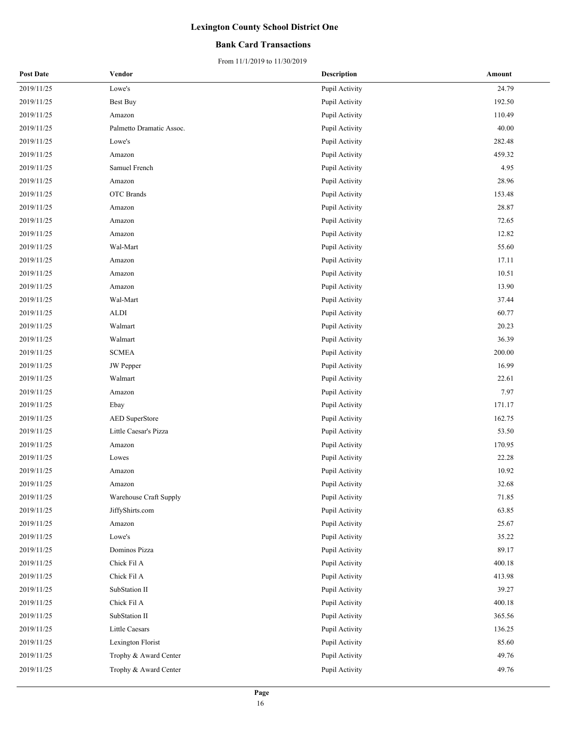### **Bank Card Transactions**

| <b>Post Date</b> | Vendor                   | <b>Description</b> | Amount |
|------------------|--------------------------|--------------------|--------|
| 2019/11/25       | Lowe's                   | Pupil Activity     | 24.79  |
| 2019/11/25       | <b>Best Buy</b>          | Pupil Activity     | 192.50 |
| 2019/11/25       | Amazon                   | Pupil Activity     | 110.49 |
| 2019/11/25       | Palmetto Dramatic Assoc. | Pupil Activity     | 40.00  |
| 2019/11/25       | Lowe's                   | Pupil Activity     | 282.48 |
| 2019/11/25       | Amazon                   | Pupil Activity     | 459.32 |
| 2019/11/25       | Samuel French            | Pupil Activity     | 4.95   |
| 2019/11/25       | Amazon                   | Pupil Activity     | 28.96  |
| 2019/11/25       | <b>OTC</b> Brands        | Pupil Activity     | 153.48 |
| 2019/11/25       | Amazon                   | Pupil Activity     | 28.87  |
| 2019/11/25       | Amazon                   | Pupil Activity     | 72.65  |
| 2019/11/25       | Amazon                   | Pupil Activity     | 12.82  |
| 2019/11/25       | Wal-Mart                 | Pupil Activity     | 55.60  |
| 2019/11/25       | Amazon                   | Pupil Activity     | 17.11  |
| 2019/11/25       | Amazon                   | Pupil Activity     | 10.51  |
| 2019/11/25       | Amazon                   | Pupil Activity     | 13.90  |
| 2019/11/25       | Wal-Mart                 | Pupil Activity     | 37.44  |
| 2019/11/25       | ALDI                     | Pupil Activity     | 60.77  |
| 2019/11/25       | Walmart                  | Pupil Activity     | 20.23  |
| 2019/11/25       | Walmart                  | Pupil Activity     | 36.39  |
| 2019/11/25       | <b>SCMEA</b>             | Pupil Activity     | 200.00 |
| 2019/11/25       | <b>JW</b> Pepper         | Pupil Activity     | 16.99  |
| 2019/11/25       | Walmart                  | Pupil Activity     | 22.61  |
| 2019/11/25       | Amazon                   | Pupil Activity     | 7.97   |
| 2019/11/25       | Ebay                     | Pupil Activity     | 171.17 |
| 2019/11/25       | AED SuperStore           | Pupil Activity     | 162.75 |
| 2019/11/25       | Little Caesar's Pizza    | Pupil Activity     | 53.50  |
| 2019/11/25       | Amazon                   | Pupil Activity     | 170.95 |
| 2019/11/25       | Lowes                    | Pupil Activity     | 22.28  |
| 2019/11/25       | Amazon                   | Pupil Activity     | 10.92  |
| 2019/11/25       | Amazon                   | Pupil Activity     | 32.68  |
| 2019/11/25       | Warehouse Craft Supply   | Pupil Activity     | 71.85  |
| 2019/11/25       | JiffyShirts.com          | Pupil Activity     | 63.85  |
| 2019/11/25       | Amazon                   | Pupil Activity     | 25.67  |
| 2019/11/25       | Lowe's                   | Pupil Activity     | 35.22  |
| 2019/11/25       | Dominos Pizza            | Pupil Activity     | 89.17  |
| 2019/11/25       | Chick Fil A              | Pupil Activity     | 400.18 |
| 2019/11/25       | Chick Fil A              | Pupil Activity     | 413.98 |
| 2019/11/25       | SubStation II            | Pupil Activity     | 39.27  |
| 2019/11/25       | Chick Fil A              | Pupil Activity     | 400.18 |
| 2019/11/25       | SubStation II            | Pupil Activity     | 365.56 |
| 2019/11/25       | Little Caesars           | Pupil Activity     | 136.25 |
| 2019/11/25       | Lexington Florist        | Pupil Activity     | 85.60  |
| 2019/11/25       | Trophy & Award Center    | Pupil Activity     | 49.76  |
| 2019/11/25       | Trophy & Award Center    | Pupil Activity     | 49.76  |
|                  |                          |                    |        |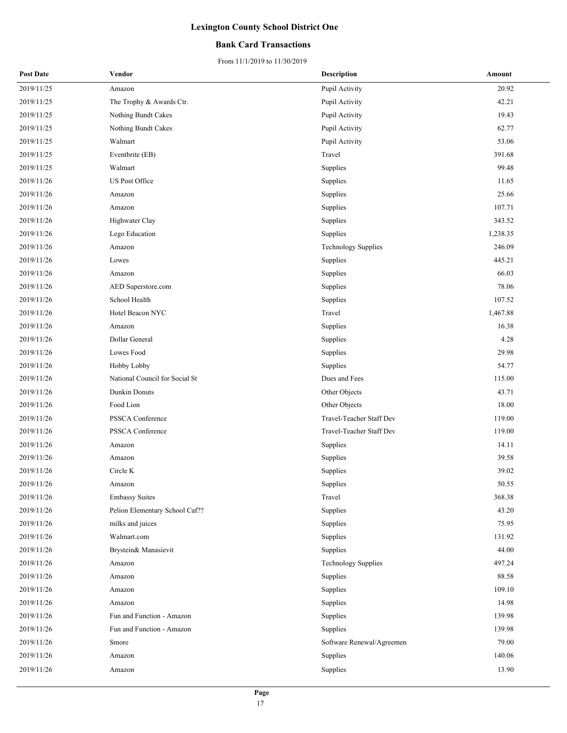### **Bank Card Transactions**

| <b>Post Date</b> | Vendor                         | <b>Description</b>         | Amount   |
|------------------|--------------------------------|----------------------------|----------|
| 2019/11/25       | Amazon                         | Pupil Activity             | 20.92    |
| 2019/11/25       | The Trophy & Awards Ctr.       | Pupil Activity             | 42.21    |
| 2019/11/25       | Nothing Bundt Cakes            | Pupil Activity             | 19.43    |
| 2019/11/25       | Nothing Bundt Cakes            | Pupil Activity             | 62.77    |
| 2019/11/25       | Walmart                        | Pupil Activity             | 53.06    |
| 2019/11/25       | Eventbrite (EB)                | Travel                     | 391.68   |
| 2019/11/25       | Walmart                        | Supplies                   | 99.48    |
| 2019/11/26       | US Post Office                 | Supplies                   | 11.65    |
| 2019/11/26       | Amazon                         | Supplies                   | 25.66    |
| 2019/11/26       | Amazon                         | Supplies                   | 107.71   |
| 2019/11/26       | Highwater Clay                 | Supplies                   | 343.52   |
| 2019/11/26       | Lego Education                 | Supplies                   | 1,238.35 |
| 2019/11/26       | Amazon                         | Technology Supplies        | 246.09   |
| 2019/11/26       | Lowes                          | Supplies                   | 445.21   |
| 2019/11/26       | Amazon                         | Supplies                   | 66.03    |
| 2019/11/26       | AED Superstore.com             | Supplies                   | 78.06    |
| 2019/11/26       | School Health                  | Supplies                   | 107.52   |
| 2019/11/26       | Hotel Beacon NYC               | Travel                     | 1,467.88 |
| 2019/11/26       | Amazon                         | Supplies                   | 16.38    |
| 2019/11/26       | Dollar General                 | Supplies                   | 4.28     |
| 2019/11/26       | Lowes Food                     | Supplies                   | 29.98    |
| 2019/11/26       | Hobby Lobby                    | Supplies                   | 54.77    |
| 2019/11/26       | National Council for Social St | Dues and Fees              | 115.00   |
| 2019/11/26       | Dunkin Donuts                  | Other Objects              | 43.71    |
| 2019/11/26       | Food Lion                      | Other Objects              | 18.00    |
| 2019/11/26       | PSSCA Conference               | Travel-Teacher Staff Dev   | 119.00   |
| 2019/11/26       | PSSCA Conference               | Travel-Teacher Staff Dev   | 119.00   |
| 2019/11/26       | Amazon                         | Supplies                   | 14.11    |
| 2019/11/26       | Amazon                         | Supplies                   | 39.58    |
| 2019/11/26       | Circle K                       | Supplies                   | 39.02    |
| 2019/11/26       | Amazon                         | Supplies                   | 50.55    |
| 2019/11/26       | <b>Embassy Suites</b>          | Travel                     | 368.38   |
| 2019/11/26       | Pelion Elementary School Caf?? | Supplies                   | 43.20    |
| 2019/11/26       | milks and juices               | Supplies                   | 75.95    |
| 2019/11/26       | Walmart.com                    | Supplies                   | 131.92   |
| 2019/11/26       | Brystein& Manasievit           | Supplies                   | 44.00    |
| 2019/11/26       | Amazon                         | <b>Technology Supplies</b> | 497.24   |
| 2019/11/26       | Amazon                         | Supplies                   | 88.58    |
| 2019/11/26       | Amazon                         | Supplies                   | 109.10   |
| 2019/11/26       | Amazon                         | Supplies                   | 14.98    |
| 2019/11/26       | Fun and Function - Amazon      | Supplies                   | 139.98   |
| 2019/11/26       | Fun and Function - Amazon      | Supplies                   | 139.98   |
| 2019/11/26       | Smore                          | Software Renewal/Agreemen  | 79.00    |
| 2019/11/26       | Amazon                         | Supplies                   | 140.06   |
| 2019/11/26       | Amazon                         | Supplies                   | 13.90    |
|                  |                                |                            |          |